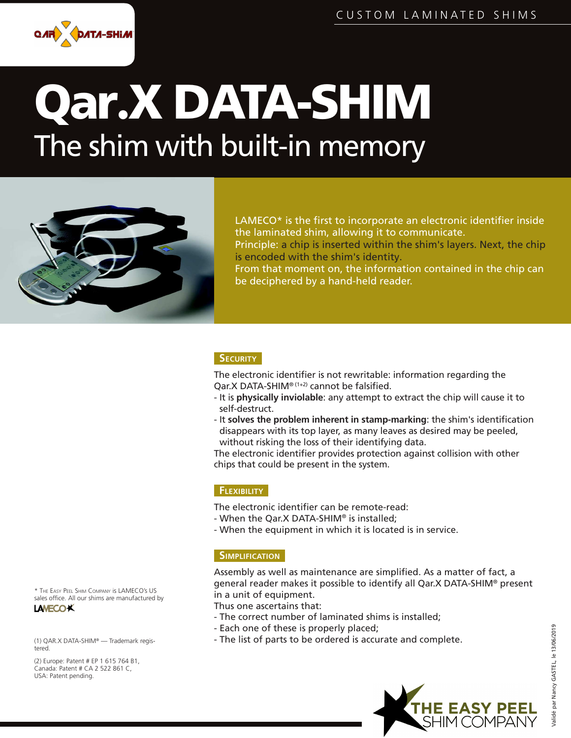

# Qar∙X DATA-SHIM The shim with built-in memory



LAMECO $*$  is the first to incorporate an electronic identifier inside the laminated shim, allowing it to communicate.

Principle: a chip is inserted within the shim's layers. Next, the chip is encoded with the shim's identity.

From that moment on, the information contained in the chip can be deciphered by a hand-held reader.

### **SECURITY**

The electronic identifier is not rewritable: information regarding the  $Oar.X$  DATA-SHIM®  $(1+2)$  cannot be falsified.

- It is **physically inviolable**: any attempt to extract the chip will cause it to self-destruct.
- It solves the problem inherent in stamp-marking: the shim's identification disappears with its top layer, as many leaves as desired may be peeled, without risking the loss of their identifying data.

The electronic identifier provides protection against collision with other chips that could be present in the system.

### **FLEXIBILITY**

The electronic identifier can be remote-read:

- When the Qar.X DATA-SHIM® is installed;
- When the equipment in which it is located is in service.

### **SIMPLIFICATION**

Assembly as well as maintenance are simplified. As a matter of fact, a general reader makes it possible to identify all Qar.X DATA-SHIM® present in a unit of equipment.

Thus one ascertains that:

- The correct number of laminated shims is installed;
- Each one of these is properly placed;
- The list of parts to be ordered is accurate and complete.



Validé par Nancy GASTEL, le 13/06/2019

/alidé par Nancy GASTEL, le 13/06/2019

\* THE EASY PEEL SHIM COMPANY is LAMECO's US sales office. All our shims are manufactured by **LAMECOK** 

(1) QAR.X DATA-SHIM® — Trademark registered.

(2) Europe: Patent # EP 1 615 764 B1, Canada: Patent # CA 2 522 861 C, USA: Patent pending.